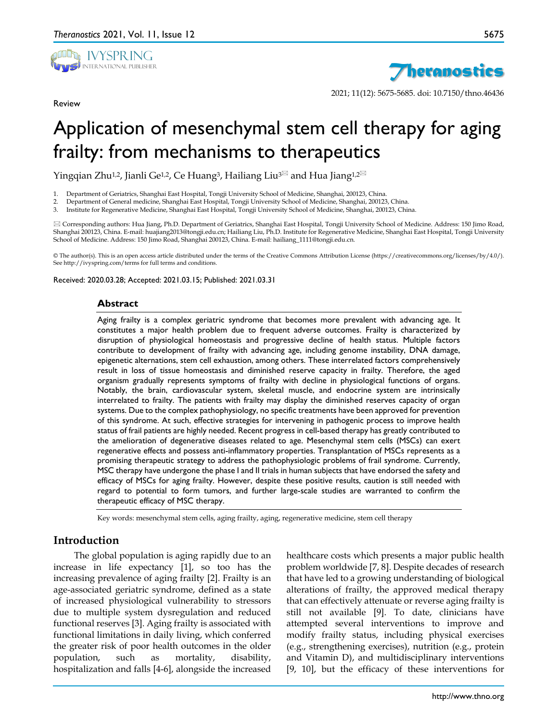

Review



2021; 11(12): 5675-5685. doi: 10.7150/thno.46436

# Application of mesenchymal stem cell therapy for aging frailty: from mechanisms to therapeutics

Yingqian Zhu<sup>1,2</sup>, Jianli Ge<sup>1,2</sup>, Ce Huang<sup>3</sup>, Hailiang Liu<sup>3 $\boxtimes$ </sup> and Hua Jiang<sup>1,2 $\boxtimes$ </sup>

1. Department of Geriatrics, Shanghai East Hospital, Tongji University School of Medicine, Shanghai, 200123, China.

2. Department of General medicine, Shanghai East Hospital, Tongji University School of Medicine, Shanghai, 200123, China.

3. Institute for Regenerative Medicine, Shanghai East Hospital, Tongji University School of Medicine, Shanghai, 200123, China.

 Corresponding authors: Hua Jiang, Ph.D. Department of Geriatrics, Shanghai East Hospital, Tongji University School of Medicine. Address: 150 Jimo Road, Shanghai 200123, China. E-mail: huajiang2013@tongji.edu.cn; Hailiang Liu, Ph.D. Institute for Regenerative Medicine, Shanghai East Hospital, Tongji University School of Medicine. Address: 150 Jimo Road, Shanghai 200123, China. E-mail: hailiang\_1111@tongji.edu.cn.

© The author(s). This is an open access article distributed under the terms of the Creative Commons Attribution License (https://creativecommons.org/licenses/by/4.0/). See http://ivyspring.com/terms for full terms and conditions.

Received: 2020.03.28; Accepted: 2021.03.15; Published: 2021.03.31

#### **Abstract**

Aging frailty is a complex geriatric syndrome that becomes more prevalent with advancing age. It constitutes a major health problem due to frequent adverse outcomes. Frailty is characterized by disruption of physiological homeostasis and progressive decline of health status. Multiple factors contribute to development of frailty with advancing age, including genome instability, DNA damage, epigenetic alternations, stem cell exhaustion, among others. These interrelated factors comprehensively result in loss of tissue homeostasis and diminished reserve capacity in frailty. Therefore, the aged organism gradually represents symptoms of frailty with decline in physiological functions of organs. Notably, the brain, cardiovascular system, skeletal muscle, and endocrine system are intrinsically interrelated to frailty. The patients with frailty may display the diminished reserves capacity of organ systems. Due to the complex pathophysiology, no specific treatments have been approved for prevention of this syndrome. At such, effective strategies for intervening in pathogenic process to improve health status of frail patients are highly needed. Recent progress in cell-based therapy has greatly contributed to the amelioration of degenerative diseases related to age. Mesenchymal stem cells (MSCs) can exert regenerative effects and possess anti-inflammatory properties. Transplantation of MSCs represents as a promising therapeutic strategy to address the pathophysiologic problems of frail syndrome. Currently, MSC therapy have undergone the phase I and II trials in human subjects that have endorsed the safety and efficacy of MSCs for aging frailty. However, despite these positive results, caution is still needed with regard to potential to form tumors, and further large-scale studies are warranted to confirm the therapeutic efficacy of MSC therapy.

Key words: mesenchymal stem cells, aging frailty, aging, regenerative medicine, stem cell therapy

## **Introduction**

The global population is aging rapidly due to an increase in life expectancy [1], so too has the increasing prevalence of aging frailty [2]. Frailty is an age-associated geriatric syndrome, defined as a state of increased physiological vulnerability to stressors due to multiple system dysregulation and reduced functional reserves [3]. Aging frailty is associated with functional limitations in daily living, which conferred the greater risk of poor health outcomes in the older population, such as mortality, disability, hospitalization and falls [4-6], alongside the increased

healthcare costs which presents a major public health problem worldwide [7, 8]. Despite decades of research that have led to a growing understanding of biological alterations of frailty, the approved medical therapy that can effectively attenuate or reverse aging frailty is still not available [9]. To date, clinicians have attempted several interventions to improve and modify frailty status, including physical exercises (e.g., strengthening exercises), nutrition (e.g., protein and Vitamin D), and multidisciplinary interventions [9, 10], but the efficacy of these interventions for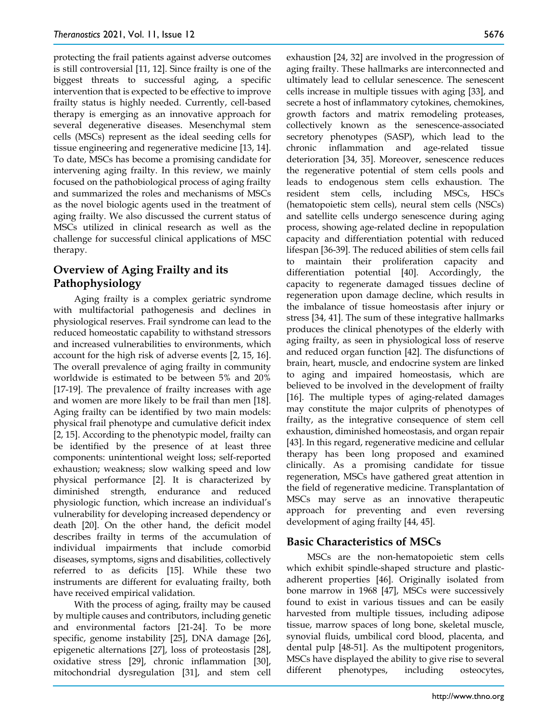protecting the frail patients against adverse outcomes is still controversial [11, 12]. Since frailty is one of the biggest threats to successful aging, a specific intervention that is expected to be effective to improve frailty status is highly needed. Currently, cell-based therapy is emerging as an innovative approach for several degenerative diseases. Mesenchymal stem cells (MSCs) represent as the ideal seeding cells for tissue engineering and regenerative medicine [13, 14]. To date, MSCs has become a promising candidate for intervening aging frailty. In this review, we mainly focused on the pathobiological process of aging frailty and summarized the roles and mechanisms of MSCs as the novel biologic agents used in the treatment of aging frailty. We also discussed the current status of MSCs utilized in clinical research as well as the challenge for successful clinical applications of MSC therapy.

# **Overview of Aging Frailty and its Pathophysiology**

Aging frailty is a complex geriatric syndrome with multifactorial pathogenesis and declines in physiological reserves. Frail syndrome can lead to the reduced homeostatic capability to withstand stressors and increased vulnerabilities to environments, which account for the high risk of adverse events [2, 15, 16]. The overall prevalence of aging frailty in community worldwide is estimated to be between 5% and 20% [17-19]. The prevalence of frailty increases with age and women are more likely to be frail than men [18]. Aging frailty can be identified by two main models: physical frail phenotype and cumulative deficit index [2, 15]. According to the phenotypic model, frailty can be identified by the presence of at least three components: unintentional weight loss; self-reported exhaustion; weakness; slow walking speed and low physical performance [2]. It is characterized by diminished strength, endurance and reduced physiologic function, which increase an individual's vulnerability for developing increased dependency or death [20]. On the other hand, the deficit model describes frailty in terms of the accumulation of individual impairments that include comorbid diseases, symptoms, signs and disabilities, collectively referred to as deficits [15]. While these two instruments are different for evaluating frailty, both have received empirical validation.

With the process of aging, frailty may be caused by multiple causes and contributors, including genetic and environmental factors [21-24]. To be more specific, genome instability [25], DNA damage [26], epigenetic alternations [27], loss of proteostasis [28], oxidative stress [29], chronic inflammation [30], mitochondrial dysregulation [31], and stem cell

exhaustion [24, 32] are involved in the progression of aging frailty. These hallmarks are interconnected and ultimately lead to cellular senescence. The senescent cells increase in multiple tissues with aging [33], and secrete a host of inflammatory cytokines, chemokines, growth factors and matrix remodeling proteases, collectively known as the senescence-associated secretory phenotypes (SASP), which lead to the chronic inflammation and age-related tissue deterioration [34, 35]. Moreover, senescence reduces the regenerative potential of stem cells pools and leads to endogenous stem cells exhaustion. The resident stem cells, including MSCs, HSCs (hematopoietic stem cells), neural stem cells (NSCs) and satellite cells undergo senescence during aging process, showing age-related decline in repopulation capacity and differentiation potential with reduced lifespan [36-39]. The reduced abilities of stem cells fail to maintain their proliferation capacity and differentiation potential [40]. Accordingly, the capacity to regenerate damaged tissues decline of regeneration upon damage decline, which results in the imbalance of tissue homeostasis after injury or stress [34, 41]. The sum of these integrative hallmarks produces the clinical phenotypes of the elderly with aging frailty, as seen in physiological loss of reserve and reduced organ function [42]. The disfunctions of brain, heart, muscle, and endocrine system are linked to aging and impaired homeostasis, which are believed to be involved in the development of frailty [16]. The multiple types of aging-related damages may constitute the major culprits of phenotypes of frailty, as the integrative consequence of stem cell exhaustion, diminished homeostasis, and organ repair [43]. In this regard, regenerative medicine and cellular therapy has been long proposed and examined clinically. As a promising candidate for tissue regeneration, MSCs have gathered great attention in the field of regenerative medicine. Transplantation of MSCs may serve as an innovative therapeutic approach for preventing and even reversing development of aging frailty [44, 45].

## **Basic Characteristics of MSCs**

MSCs are the non-hematopoietic stem cells which exhibit spindle-shaped structure and plasticadherent properties [46]. Originally isolated from bone marrow in 1968 [47], MSCs were successively found to exist in various tissues and can be easily harvested from multiple tissues, including adipose tissue, marrow spaces of long bone, skeletal muscle, synovial fluids, umbilical cord blood, placenta, and dental pulp [48-51]. As the multipotent progenitors, MSCs have displayed the ability to give rise to several different phenotypes, including osteocytes,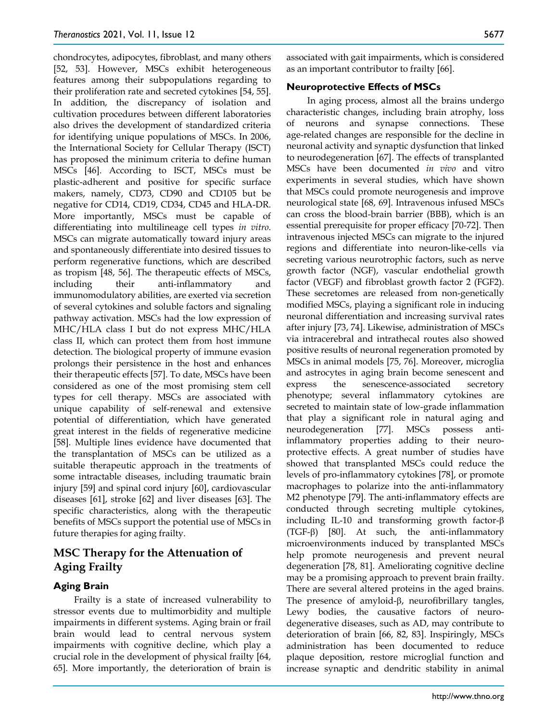chondrocytes, adipocytes, fibroblast, and many others [52, 53]. However, MSCs exhibit heterogeneous features among their subpopulations regarding to their proliferation rate and secreted cytokines [54, 55]. In addition, the discrepancy of isolation and cultivation procedures between different laboratories also drives the development of standardized criteria for identifying unique populations of MSCs. In 2006, the International Society for Cellular Therapy (ISCT) has proposed the minimum criteria to define human MSCs [46]. According to ISCT, MSCs must be plastic-adherent and positive for specific surface makers, namely, CD73, CD90 and CD105 but be negative for CD14, CD19, CD34, CD45 and HLA-DR. More importantly, MSCs must be capable of differentiating into multilineage cell types *in vitro*. MSCs can migrate automatically toward injury areas and spontaneously differentiate into desired tissues to perform regenerative functions, which are described as tropism [48, 56]. The therapeutic effects of MSCs, including their anti-inflammatory and immunomodulatory abilities, are exerted via secretion of several cytokines and soluble factors and signaling pathway activation. MSCs had the low expression of MHC/HLA class I but do not express MHC/HLA class II, which can protect them from host immune detection. The biological property of immune evasion prolongs their persistence in the host and enhances their therapeutic effects [57]. To date, MSCs have been considered as one of the most promising stem cell types for cell therapy. MSCs are associated with unique capability of self-renewal and extensive potential of differentiation, which have generated great interest in the fields of regenerative medicine [58]. Multiple lines evidence have documented that the transplantation of MSCs can be utilized as a suitable therapeutic approach in the treatments of some intractable diseases, including traumatic brain injury [59] and spinal cord injury [60], cardiovascular diseases [61], stroke [62] and liver diseases [63]. The specific characteristics, along with the therapeutic benefits of MSCs support the potential use of MSCs in future therapies for aging frailty.

# **MSC Therapy for the Attenuation of Aging Frailty**

## **Aging Brain**

Frailty is a state of increased vulnerability to stressor events due to multimorbidity and multiple impairments in different systems. Aging brain or frail brain would lead to central nervous system impairments with cognitive decline, which play a crucial role in the development of physical frailty [64, 65]. More importantly, the deterioration of brain is

associated with gait impairments, which is considered as an important contributor to frailty [66].

#### **Neuroprotective Effects of MSCs**

In aging process, almost all the brains undergo characteristic changes, including brain atrophy, loss of neurons and synapse connections. These age-related changes are responsible for the decline in neuronal activity and synaptic dysfunction that linked to neurodegeneration [67]. The effects of transplanted MSCs have been documented *in vivo* and vitro experiments in several studies, which have shown that MSCs could promote neurogenesis and improve neurological state [68, 69]. Intravenous infused MSCs can cross the blood-brain barrier (BBB), which is an essential prerequisite for proper efficacy [70-72]. Then intravenous injected MSCs can migrate to the injured regions and differentiate into neuron-like-cells via secreting various neurotrophic factors, such as nerve growth factor (NGF), vascular endothelial growth factor (VEGF) and fibroblast growth factor 2 (FGF2). These secretomes are released from non-genetically modified MSCs, playing a significant role in inducing neuronal differentiation and increasing survival rates after injury [73, 74]. Likewise, administration of MSCs via intracerebral and intrathecal routes also showed positive results of neuronal regeneration promoted by MSCs in animal models [75, 76]. Moreover, microglia and astrocytes in aging brain become senescent and express the senescence-associated secretory phenotype; several inflammatory cytokines are secreted to maintain state of low-grade inflammation that play a significant role in natural aging and neurodegeneration [77]. MSCs possess antiinflammatory properties adding to their neuroprotective effects. A great number of studies have showed that transplanted MSCs could reduce the levels of pro-inflammatory cytokines [78], or promote macrophages to polarize into the anti-inflammatory M2 phenotype [79]. The anti-inflammatory effects are conducted through secreting multiple cytokines, including IL-10 and transforming growth factor-β (TGF-β) [80]. At such, the anti-inflammatory microenvironments induced by transplanted MSCs help promote neurogenesis and prevent neural degeneration [78, 81]. Ameliorating cognitive decline may be a promising approach to prevent brain frailty. There are several altered proteins in the aged brains. The presence of amyloid-β, neurofibrillary tangles, Lewy bodies, the causative factors of neurodegenerative diseases, such as AD, may contribute to deterioration of brain [66, 82, 83]. Inspiringly, MSCs administration has been documented to reduce plaque deposition, restore microglial function and increase synaptic and dendritic stability in animal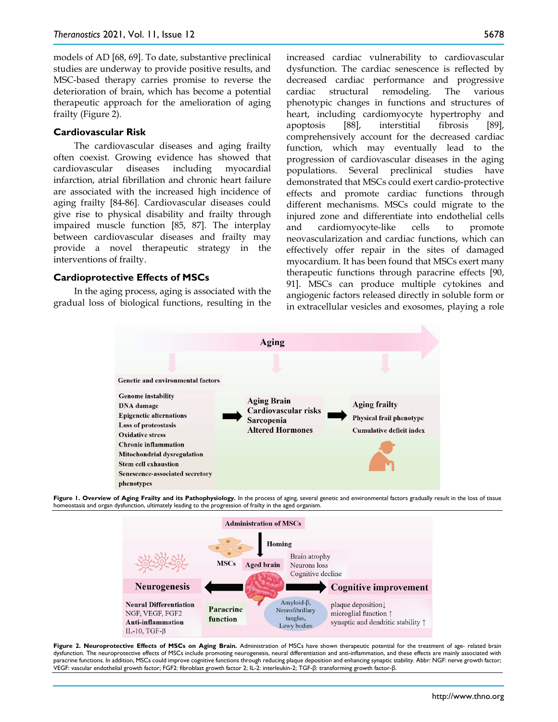models of AD [68, 69]. To date, substantive preclinical studies are underway to provide positive results, and MSC-based therapy carries promise to reverse the deterioration of brain, which has become a potential therapeutic approach for the amelioration of aging frailty (Figure 2).

#### **Cardiovascular Risk**

The cardiovascular diseases and aging frailty often coexist. Growing evidence has showed that cardiovascular diseases including myocardial infarction, atrial fibrillation and chronic heart failure are associated with the increased high incidence of aging frailty [84-86]. Cardiovascular diseases could give rise to physical disability and frailty through impaired muscle function [85, 87]. The interplay between cardiovascular diseases and frailty may provide a novel therapeutic strategy in the interventions of frailty.

#### **Cardioprotective Effects of MSCs**

In the aging process, aging is associated with the gradual loss of biological functions, resulting in the increased cardiac vulnerability to cardiovascular dysfunction. The cardiac senescence is reflected by decreased cardiac performance and progressive cardiac structural remodeling. The various phenotypic changes in functions and structures of heart, including cardiomyocyte hypertrophy and apoptosis [88], interstitial fibrosis [89], comprehensively account for the decreased cardiac function, which may eventually lead to the progression of cardiovascular diseases in the aging populations. Several preclinical studies have demonstrated that MSCs could exert cardio-protective effects and promote cardiac functions through different mechanisms. MSCs could migrate to the injured zone and differentiate into endothelial cells and cardiomyocyte-like cells to promote neovascularization and cardiac functions, which can effectively offer repair in the sites of damaged myocardium. It has been found that MSCs exert many therapeutic functions through paracrine effects [90, 91]. MSCs can produce multiple cytokines and angiogenic factors released directly in soluble form or in extracellular vesicles and exosomes, playing a role







Figure 2. Neuroprotective Effects of MSCs on Aging Brain. Administration of MSCs have shown therapeutic potential for the treatment of age- related brain dysfunction. The neuroprotective effects of MSCs include promoting neurogenesis, neural differentiation and anti-inflammation, and these effects are mainly associated with paracrine functions. In addition, MSCs could improve cognitive functions through reducing plaque deposition and enhancing synaptic stability. Abbr: NGF: nerve growth factor; VEGF: vascular endothelial growth factor; FGF2: fibroblast growth factor 2; IL-2: interleukin-2; TGF-β: transforming growth factor-β.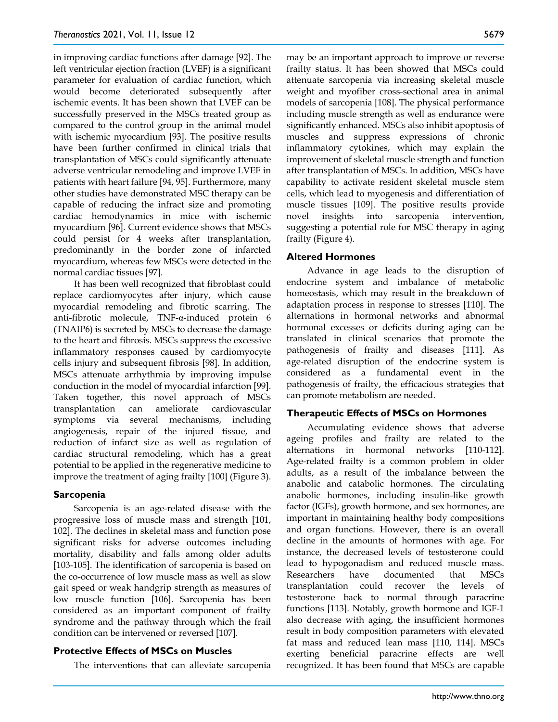in improving cardiac functions after damage [92]. The left ventricular ejection fraction (LVEF) is a significant parameter for evaluation of cardiac function, which would become deteriorated subsequently after ischemic events. It has been shown that LVEF can be successfully preserved in the MSCs treated group as compared to the control group in the animal model with ischemic myocardium [93]. The positive results have been further confirmed in clinical trials that transplantation of MSCs could significantly attenuate adverse ventricular remodeling and improve LVEF in patients with heart failure [94, 95]. Furthermore, many other studies have demonstrated MSC therapy can be capable of reducing the infract size and promoting cardiac hemodynamics in mice with ischemic myocardium [96]. Current evidence shows that MSCs could persist for 4 weeks after transplantation, predominantly in the border zone of infarcted myocardium, whereas few MSCs were detected in the normal cardiac tissues [97].

It has been well recognized that fibroblast could replace cardiomyocytes after injury, which cause myocardial remodeling and fibrotic scarring. The anti-fibrotic molecule, TNF-α-induced protein 6 (TNAIP6) is secreted by MSCs to decrease the damage to the heart and fibrosis. MSCs suppress the excessive inflammatory responses caused by cardiomyocyte cells injury and subsequent fibrosis [98]. In addition, MSCs attenuate arrhythmia by improving impulse conduction in the model of myocardial infarction [99]. Taken together, this novel approach of MSCs transplantation can ameliorate cardiovascular symptoms via several mechanisms, including angiogenesis, repair of the injured tissue, and reduction of infarct size as well as regulation of cardiac structural remodeling, which has a great potential to be applied in the regenerative medicine to improve the treatment of aging frailty [100] (Figure 3).

## **Sarcopenia**

Sarcopenia is an age-related disease with the progressive loss of muscle mass and strength [101, 102]. The declines in skeletal mass and function pose significant risks for adverse outcomes including mortality, disability and falls among older adults [103-105]. The identification of sarcopenia is based on the co-occurrence of low muscle mass as well as slow gait speed or weak handgrip strength as measures of low muscle function [106]. Sarcopenia has been considered as an important component of frailty syndrome and the pathway through which the frail condition can be intervened or reversed [107].

#### **Protective Effects of MSCs on Muscles**

The interventions that can alleviate sarcopenia

may be an important approach to improve or reverse frailty status. It has been showed that MSCs could attenuate sarcopenia via increasing skeletal muscle weight and myofiber cross-sectional area in animal models of sarcopenia [108]. The physical performance including muscle strength as well as endurance were significantly enhanced. MSCs also inhibit apoptosis of muscles and suppress expressions of chronic inflammatory cytokines, which may explain the improvement of skeletal muscle strength and function after transplantation of MSCs. In addition, MSCs have capability to activate resident skeletal muscle stem cells, which lead to myogenesis and differentiation of muscle tissues [109]. The positive results provide novel insights into sarcopenia intervention, suggesting a potential role for MSC therapy in aging frailty (Figure 4).

#### **Altered Hormones**

Advance in age leads to the disruption of endocrine system and imbalance of metabolic homeostasis, which may result in the breakdown of adaptation process in response to stresses [110]. The alternations in hormonal networks and abnormal hormonal excesses or deficits during aging can be translated in clinical scenarios that promote the pathogenesis of frailty and diseases [111]. As age-related disruption of the endocrine system is considered as a fundamental event in the pathogenesis of frailty, the efficacious strategies that can promote metabolism are needed.

## **Therapeutic Effects of MSCs on Hormones**

Accumulating evidence shows that adverse ageing profiles and frailty are related to the alternations in hormonal networks [110-112]. Age-related frailty is a common problem in older adults, as a result of the imbalance between the anabolic and catabolic hormones. The circulating anabolic hormones, including insulin-like growth factor (IGFs), growth hormone, and sex hormones, are important in maintaining healthy body compositions and organ functions. However, there is an overall decline in the amounts of hormones with age. For instance, the decreased levels of testosterone could lead to hypogonadism and reduced muscle mass. Researchers have documented that MSCs transplantation could recover the levels of testosterone back to normal through paracrine functions [113]. Notably, growth hormone and IGF-1 also decrease with aging, the insufficient hormones result in body composition parameters with elevated fat mass and reduced lean mass [110, 114]. MSCs exerting beneficial paracrine effects are well recognized. It has been found that MSCs are capable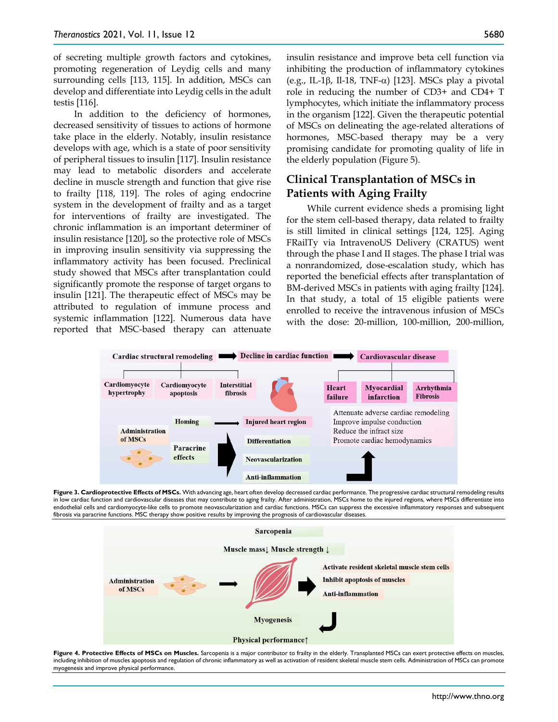of secreting multiple growth factors and cytokines, promoting regeneration of Leydig cells and many surrounding cells [113, 115]. In addition, MSCs can develop and differentiate into Leydig cells in the adult testis [116].

In addition to the deficiency of hormones, decreased sensitivity of tissues to actions of hormone take place in the elderly. Notably, insulin resistance develops with age, which is a state of poor sensitivity of peripheral tissues to insulin [117]. Insulin resistance may lead to metabolic disorders and accelerate decline in muscle strength and function that give rise to frailty [118, 119]. The roles of aging endocrine system in the development of frailty and as a target for interventions of frailty are investigated. The chronic inflammation is an important determiner of insulin resistance [120], so the protective role of MSCs in improving insulin sensitivity via suppressing the inflammatory activity has been focused. Preclinical study showed that MSCs after transplantation could significantly promote the response of target organs to insulin [121]. The therapeutic effect of MSCs may be attributed to regulation of immune process and systemic inflammation [122]. Numerous data have reported that MSC-based therapy can attenuate

insulin resistance and improve beta cell function via inhibiting the production of inflammatory cytokines (e.g., IL-1β, Il-18, TNF- $\alpha$ ) [123]. MSCs play a pivotal role in reducing the number of CD3+ and CD4+ T lymphocytes, which initiate the inflammatory process in the organism [122]. Given the therapeutic potential of MSCs on delineating the age-related alterations of hormones, MSC-based therapy may be a very promising candidate for promoting quality of life in the elderly population (Figure 5).

# **Clinical Transplantation of MSCs in Patients with Aging Frailty**

While current evidence sheds a promising light for the stem cell-based therapy, data related to frailty is still limited in clinical settings [124, 125]. Aging FRailTy via IntravenoUS Delivery (CRATUS) went through the phase I and II stages. The phase I trial was a nonrandomized, dose-escalation study, which has reported the beneficial effects after transplantation of BM-derived MSCs in patients with aging frailty [124]. In that study, a total of 15 eligible patients were enrolled to receive the intravenous infusion of MSCs with the dose: 20-million, 100-million, 200-million,



**Figure 3. Cardioprotective Effects of MSCs.** With advancing age, heart often develop decreased cardiac performance. The progressive cardiac structural remodeling results in low cardiac function and cardiovascular diseases that may contribute to aging frailty. After administration, MSCs home to the injured regions, where MSCs differentiate into endothelial cells and cardiomyocyte-like cells to promote neovascularization and cardiac functions. MSCs can suppress the excessive inflammatory responses and subsequent fibrosis via paracrine functions. MSC therapy show positive results by improving the prognosis of cardiovascular diseases.



Figure 4. Protective Effects of MSCs on Muscles. Sarcopenia is a major contributor to frailty in the elderly. Transplanted MSCs can exert protective effects on muscles, including inhibition of muscles apoptosis and regulation of chronic inflammatory as well as activation of resident skeletal muscle stem cells. Administration of MSCs can promote myogenesis and improve physical performance.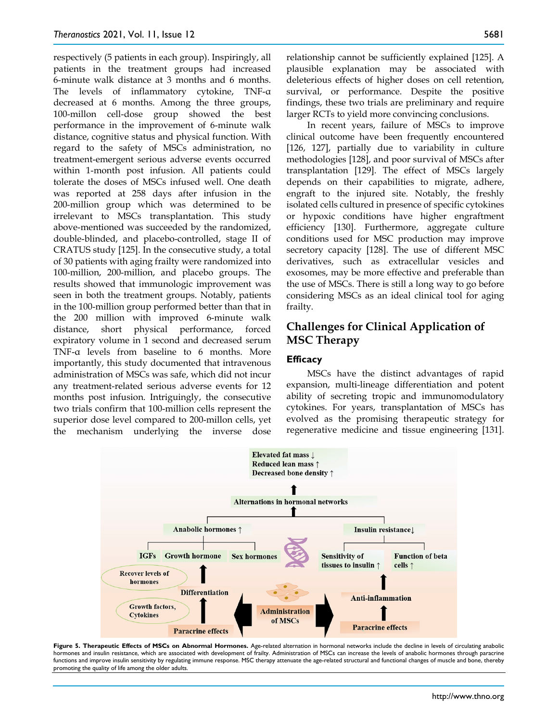respectively (5 patients in each group). Inspiringly, all patients in the treatment groups had increased 6-minute walk distance at 3 months and 6 months. The levels of inflammatory cytokine, TNF-α decreased at 6 months. Among the three groups, 100-millon cell-dose group showed the best performance in the improvement of 6-minute walk distance, cognitive status and physical function. With regard to the safety of MSCs administration, no treatment-emergent serious adverse events occurred within 1-month post infusion. All patients could tolerate the doses of MSCs infused well. One death was reported at 258 days after infusion in the 200-million group which was determined to be irrelevant to MSCs transplantation. This study above-mentioned was succeeded by the randomized, double-blinded, and placebo-controlled, stage II of CRATUS study [125]. In the consecutive study, a total of 30 patients with aging frailty were randomized into 100-million, 200-million, and placebo groups. The results showed that immunologic improvement was seen in both the treatment groups. Notably, patients in the 100-million group performed better than that in the 200 million with improved 6-minute walk distance, short physical performance, forced expiratory volume in 1 second and decreased serum TNF-α levels from baseline to 6 months. More importantly, this study documented that intravenous administration of MSCs was safe, which did not incur any treatment-related serious adverse events for 12 months post infusion. Intriguingly, the consecutive two trials confirm that 100-million cells represent the superior dose level compared to 200-millon cells, yet the mechanism underlying the inverse dose

relationship cannot be sufficiently explained [125]. A plausible explanation may be associated with deleterious effects of higher doses on cell retention, survival, or performance. Despite the positive findings, these two trials are preliminary and require larger RCTs to yield more convincing conclusions.

In recent years, failure of MSCs to improve clinical outcome have been frequently encountered [126, 127], partially due to variability in culture methodologies [128], and poor survival of MSCs after transplantation [129]. The effect of MSCs largely depends on their capabilities to migrate, adhere, engraft to the injured site. Notably, the freshly isolated cells cultured in presence of specific cytokines or hypoxic conditions have higher engraftment efficiency [130]. Furthermore, aggregate culture conditions used for MSC production may improve secretory capacity [128]. The use of different MSC derivatives, such as extracellular vesicles and exosomes, may be more effective and preferable than the use of MSCs. There is still a long way to go before considering MSCs as an ideal clinical tool for aging frailty.

# **Challenges for Clinical Application of MSC Therapy**

#### **Efficacy**

MSCs have the distinct advantages of rapid expansion, multi-lineage differentiation and potent ability of secreting tropic and immunomodulatory cytokines. For years, transplantation of MSCs has evolved as the promising therapeutic strategy for regenerative medicine and tissue engineering [131].



Figure 5. Therapeutic Effects of MSCs on Abnormal Hormones. Age-related alternation in hormonal networks include the decline in levels of circulating anabolic hormones and insulin resistance, which are associated with development of frailty. Administration of MSCs can increase the levels of anabolic hormones through paracrine functions and improve insulin sensitivity by regulating immune response. MSC therapy attenuate the age-related structural and functional changes of muscle and bone, thereby promoting the quality of life among the older adults.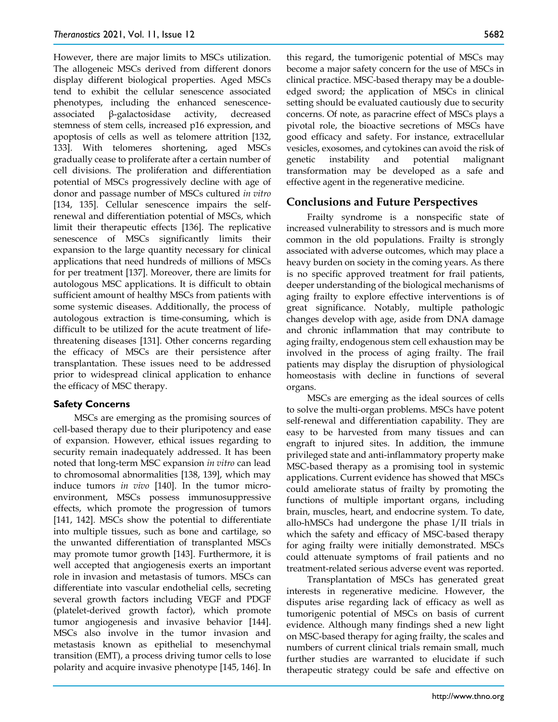However, there are major limits to MSCs utilization. The allogeneic MSCs derived from different donors display different biological properties. Aged MSCs tend to exhibit the cellular senescence associated phenotypes, including the enhanced senescenceassociated β-galactosidase activity, decreased stemness of stem cells, increased p16 expression, and apoptosis of cells as well as telomere attrition [132, 133]. With telomeres shortening, aged MSCs gradually cease to proliferate after a certain number of cell divisions. The proliferation and differentiation potential of MSCs progressively decline with age of donor and passage number of MSCs cultured *in vitro* [134, 135]. Cellular senescence impairs the selfrenewal and differentiation potential of MSCs, which limit their therapeutic effects [136]. The replicative senescence of MSCs significantly limits their expansion to the large quantity necessary for clinical applications that need hundreds of millions of MSCs for per treatment [137]. Moreover, there are limits for autologous MSC applications. It is difficult to obtain sufficient amount of healthy MSCs from patients with some systemic diseases. Additionally, the process of autologous extraction is time-consuming, which is difficult to be utilized for the acute treatment of lifethreatening diseases [131]. Other concerns regarding the efficacy of MSCs are their persistence after transplantation. These issues need to be addressed prior to widespread clinical application to enhance the efficacy of MSC therapy.

## **Safety Concerns**

MSCs are emerging as the promising sources of cell-based therapy due to their pluripotency and ease of expansion. However, ethical issues regarding to security remain inadequately addressed. It has been noted that long-term MSC expansion *in vitro* can lead to chromosomal abnormalities [138, 139], which may induce tumors *in vivo* [140]. In the tumor microenvironment, MSCs possess immunosuppressive effects, which promote the progression of tumors [141, 142]. MSCs show the potential to differentiate into multiple tissues, such as bone and cartilage, so the unwanted differentiation of transplanted MSCs may promote tumor growth [143]. Furthermore, it is well accepted that angiogenesis exerts an important role in invasion and metastasis of tumors. MSCs can differentiate into vascular endothelial cells, secreting several growth factors including VEGF and PDGF (platelet-derived growth factor), which promote tumor angiogenesis and invasive behavior [144]. MSCs also involve in the tumor invasion and metastasis known as epithelial to mesenchymal transition (EMT), a process driving tumor cells to lose polarity and acquire invasive phenotype [145, 146]. In

this regard, the tumorigenic potential of MSCs may become a major safety concern for the use of MSCs in clinical practice. MSC-based therapy may be a doubleedged sword; the application of MSCs in clinical setting should be evaluated cautiously due to security concerns. Of note, as paracrine effect of MSCs plays a pivotal role, the bioactive secretions of MSCs have good efficacy and safety. For instance, extracellular vesicles, exosomes, and cytokines can avoid the risk of genetic instability and potential malignant transformation may be developed as a safe and effective agent in the regenerative medicine.

# **Conclusions and Future Perspectives**

Frailty syndrome is a nonspecific state of increased vulnerability to stressors and is much more common in the old populations. Frailty is strongly associated with adverse outcomes, which may place a heavy burden on society in the coming years. As there is no specific approved treatment for frail patients, deeper understanding of the biological mechanisms of aging frailty to explore effective interventions is of great significance. Notably, multiple pathologic changes develop with age, aside from DNA damage and chronic inflammation that may contribute to aging frailty, endogenous stem cell exhaustion may be involved in the process of aging frailty. The frail patients may display the disruption of physiological homeostasis with decline in functions of several organs.

MSCs are emerging as the ideal sources of cells to solve the multi-organ problems. MSCs have potent self-renewal and differentiation capability. They are easy to be harvested from many tissues and can engraft to injured sites. In addition, the immune privileged state and anti-inflammatory property make MSC-based therapy as a promising tool in systemic applications. Current evidence has showed that MSCs could ameliorate status of frailty by promoting the functions of multiple important organs, including brain, muscles, heart, and endocrine system. To date, allo-hMSCs had undergone the phase I/II trials in which the safety and efficacy of MSC-based therapy for aging frailty were initially demonstrated. MSCs could attenuate symptoms of frail patients and no treatment-related serious adverse event was reported.

Transplantation of MSCs has generated great interests in regenerative medicine. However, the disputes arise regarding lack of efficacy as well as tumorigenic potential of MSCs on basis of current evidence. Although many findings shed a new light on MSC-based therapy for aging frailty, the scales and numbers of current clinical trials remain small, much further studies are warranted to elucidate if such therapeutic strategy could be safe and effective on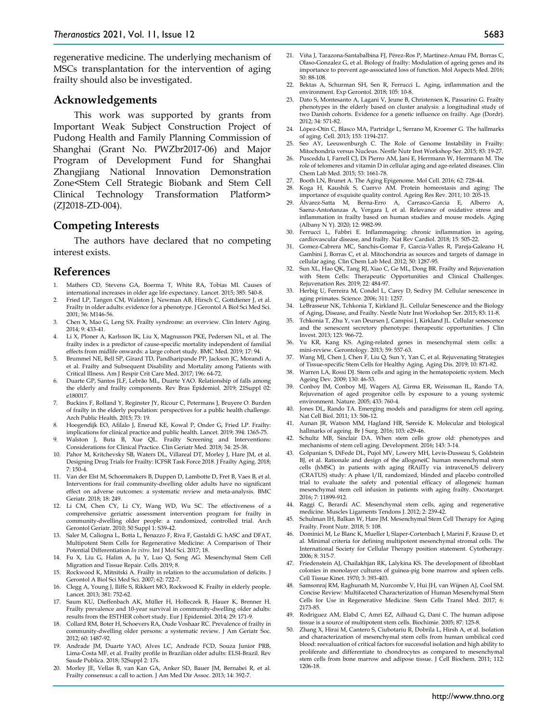regenerative medicine. The underlying mechanism of MSCs transplantation for the intervention of aging frailty should also be investigated.

#### **Acknowledgements**

This work was supported by grants from Important Weak Subject Construction Project of Pudong Health and Family Planning Commission of Shanghai (Grant No. PWZbr2017-06) and Major Program of Development Fund for Shanghai Zhangjiang National Innovation Demonstration Zone<Stem Cell Strategic Biobank and Stem Cell Clinical Technology Transformation Platform> (ZJ2018-ZD-004).

## **Competing Interests**

The authors have declared that no competing interest exists.

#### **References**

- 1. Mathers CD, Stevens GA, Boerma T, White RA, Tobias MI. Causes of international increases in older age life expectancy. Lancet. 2015; 385: 540-8.
- 2. Fried LP, Tangen CM, Walston J, Newman AB, Hirsch C, Gottdiener J, et al. Frailty in older adults: evidence for a phenotype. J Gerontol A Biol Sci Med Sci. 2001; 56: M146-56.
- 3. Chen X, Mao G, Leng SX. Frailty syndrome: an overview. Clin Interv Aging. 2014; 9: 433-41.
- 4. Li X, Ploner A, Karlsson IK, Liu X, Magnusson PKE, Pedersen NL, et al. The frailty index is a predictor of cause-specific mortality independent of familial effects from midlife onwards: a large cohort study. BMC Med. 2019; 17: 94.
- 5. Brummel NE, Bell SP, Girard TD, Pandharipande PP, Jackson JC, Morandi A, et al. Frailty and Subsequent Disability and Mortality among Patients with Critical Illness. Am J Respir Crit Care Med. 2017; 196: 64-72.
- 6. Duarte GP, Santos JLF, Lebrão ML, Duarte YAO. Relationship of falls among the elderly and frailty components. Rev Bras Epidemiol. 2019; 21Suppl 02: e180017.
- 7. Buckinx F, Rolland Y, Reginster JY, Ricour C, Petermans J, Bruyere O. Burden of frailty in the elderly population: perspectives for a public health challenge. Arch Public Health. 2015; 73: 19.
- 8. Hoogendijk EO, Afilalo J, Ensrud KE, Kowal P, Onder G, Fried LP. Frailty: implications for clinical practice and public health. Lancet. 2019; 394: 1365-75.
- Walston J, Buta B, Xue QL. Frailty Screening and Interventions: Considerations for Clinical Practice. Clin Geriatr Med. 2018; 34: 25-38.
- 10. Pahor M, Kritchevsky SB, Waters DL, Villareal DT, Morley J, Hare JM, et al. Designing Drug Trials for Frailty: ICFSR Task Force 2018. J Frailty Aging. 2018; 7: 150-4.
- 11. Van der Elst M, Schoenmakers B, Duppen D, Lambotte D, Fret B, Vaes B, et al. Interventions for frail community-dwelling older adults have no significant effect on adverse outcomes: a systematic review and meta-analysis. BMC Geriatr. 2018; 18: 249.
- 12. Li CM, Chen CY, Li CY, Wang WD, Wu SC. The effectiveness of a comprehensive geriatric assessment intervention program for frailty in community-dwelling older people: a randomized, controlled trial. Arch Gerontol Geriatr. 2010; 50 Suppl 1: S39-42.
- 13. Saler M, Caliogna L, Botta L, Benazzo F, Riva F, Gastaldi G. hASC and DFAT, Multipotent Stem Cells for Regenerative Medicine: A Comparison of Their Potential Differentiation *In vitro*. Int J Mol Sci. 2017; 18.
- 14. Fu X, Liu G, Halim A, Ju Y, Luo Q, Song AG. Mesenchymal Stem Cell Migration and Tissue Repair. Cells. 2019; 8.
- 15. Rockwood K, Mitnitski A. Frailty in relation to the accumulation of deficits. J Gerontol A Biol Sci Med Sci. 2007; 62: 722-7.
- 16. Clegg A, Young J, Iliffe S, Rikkert MO, Rockwood K. Frailty in elderly people. Lancet. 2013; 381: 752-62.
- 17. Saum KU, Dieffenbach AK, Müller H, Holleczek B, Hauer K, Brenner H. Frailty prevalence and 10-year survival in community-dwelling older adults: results from the ESTHER cohort study. Eur J Epidemiol. 2014; 29: 171-9.
- 18. Collard RM, Boter H, Schoevers RA, Oude Voshaar RC. Prevalence of frailty in community-dwelling older persons: a systematic review. J Am Geriatr Soc. 2012; 60: 1487-92.
- 19. Andrade JM, Duarte YAO, Alves LC, Andrade FCD, Souza Junior PRB, Lima-Costa MF, et al. Frailty profile in Brazilian older adults: ELSI-Brazil. Rev Saude Publica. 2018; 52Suppl 2: 17s.
- 20. Morley JE, Vellas B, van Kan GA, Anker SD, Bauer JM, Bernabei R, et al. Frailty consensus: a call to action. J Am Med Dir Assoc. 2013; 14: 392-7.
- 21. Viña J, Tarazona-Santabalbina FJ, Pérez-Ros P, Martínez-Arnau FM, Borras C, Olaso-Gonzalez G, et al. Biology of frailty: Modulation of ageing genes and its importance to prevent age-associated loss of function. Mol Aspects Med. 2016; 50: 88-108.
- 22. Bektas A, Schurman SH, Sen R, Ferrucci L. Aging, inflammation and the environment. Exp Gerontol. 2018; 105: 10-8.
- 23. Dato S, Montesanto A, Lagani V, Jeune B, Christensen K, Passarino G. Frailty phenotypes in the elderly based on cluster analysis: a longitudinal study of two Danish cohorts. Evidence for a genetic influence on frailty. Age (Dordr). 2012; 34: 571-82.
- 24. López-Otín C, Blasco MA, Partridge L, Serrano M, Kroemer G. The hallmarks of aging. Cell. 2013; 153: 1194-217.
- 25. Seo AY, Leeuwenburgh C. The Role of Genome Instability in Frailty: Mitochondria versus Nucleus. Nestle Nutr Inst Workshop Ser. 2015; 83: 19-27.
- 26. Pusceddu I, Farrell CJ, Di Pierro AM, Jani E, Herrmann W, Herrmann M. The role of telomeres and vitamin D in cellular aging and age-related diseases. Clin Chem Lab Med. 2015; 53: 1661-78.
- 27. Booth LN, Brunet A. The Aging Epigenome. Mol Cell. 2016; 62: 728-44.
- 28. Koga H, Kaushik S, Cuervo AM. Protein homeostasis and aging: The importance of exquisite quality control. Ageing Res Rev. 2011; 10: 205-15.
- 29. Álvarez-Satta M, Berna-Erro A, Carrasco-Garcia E, Alberro A, Saenz-Antoñanzas A, Vergara I, et al. Relevance of oxidative stress and inflammation in frailty based on human studies and mouse models. Aging (Albany N Y). 2020; 12: 9982-99.
- 30. Ferrucci L, Fabbri E. Inflammageing: chronic inflammation in ageing, cardiovascular disease, and frailty. Nat Rev Cardiol. 2018; 15: 505-22.
- 31. Gomez-Cabrera MC, Sanchis-Gomar F, Garcia-Valles R, Pareja-Galeano H, Gambini J, Borras C, et al. Mitochondria as sources and targets of damage in cellular aging. Clin Chem Lab Med. 2012; 50: 1287-95.
- 32. Sun XL, Hao QK, Tang RJ, Xiao C, Ge ML, Dong BR. Frailty and Rejuvenation with Stem Cells: Therapeutic Opportunities and Clinical Challenges. Rejuvenation Res. 2019; 22: 484-97.
- 33. Herbig U, Ferreira M, Condel L, Carey D, Sedivy JM. Cellular senescence in aging primates. Science. 2006; 311: 1257.
- 34. LeBrasseur NK, Tchkonia T, Kirkland JL. Cellular Senescence and the Biology of Aging, Disease, and Frailty. Nestle Nutr Inst Workshop Ser. 2015; 83: 11-8.
- 35. Tchkonia T, Zhu Y, van Deursen J, Campisi J, Kirkland JL. Cellular senescence and the senescent secretory phenotype: therapeutic opportunities. J Clin Invest. 2013; 123: 966-72.
- 36. Yu KR, Kang KS. Aging-related genes in mesenchymal stem cells: a mini-review. Gerontology. 2013; 59: 557-63.
- 37. Wang MJ, Chen J, Chen F, Liu Q, Sun Y, Yan C, et al. Rejuvenating Strategies of Tissue-specific Stem Cells for Healthy Aging. Aging Dis. 2019; 10: 871-82.
- 38. Warren LA, Rossi DJ. Stem cells and aging in the hematopoietic system. Mech Ageing Dev. 2009; 130: 46-53.
- 39. Conboy IM, Conboy MJ, Wagers AJ, Girma ER, Weissman IL, Rando TA. Rejuvenation of aged progenitor cells by exposure to a young systemic environment. Nature. 2005; 433: 760-4.
- 40. Jones DL, Rando TA. Emerging models and paradigms for stem cell ageing. Nat Cell Biol. 2011; 13: 506-12.
- 41. Aunan JR, Watson MM, Hagland HR, Søreide K. Molecular and biological hallmarks of ageing. Br J Surg. 2016; 103: e29-46.
- 42. Schultz MB, Sinclair DA. When stem cells grow old: phenotypes and mechanisms of stem cell aging. Development. 2016; 143: 3-14.
- 43. Golpanian S, DiFede DL, Pujol MV, Lowery MH, Levis-Dusseau S, Goldstein BJ, et al. Rationale and design of the allogeneiC human mesenchymal stem cells (hMSC) in patients with aging fRAilTy via intravenoUS delivery (CRATUS) study: A phase I/II, randomized, blinded and placebo controlled trial to evaluate the safety and potential efficacy of allogeneic human mesenchymal stem cell infusion in patients with aging frailty. Oncotarget. 2016; 7: 11899-912.
- 44. Raggi C, Berardi AC. Mesenchymal stem cells, aging and regenerative medicine. Muscles Ligaments Tendons J. 2012; 2: 239-42.
- 45. Schulman IH, Balkan W, Hare JM. Mesenchymal Stem Cell Therapy for Aging Frailty. Front Nutr. 2018; 5: 108.
- 46. Dominici M, Le Blanc K, Mueller I, Slaper-Cortenbach I, Marini F, Krause D, et al. Minimal criteria for defining multipotent mesenchymal stromal cells. The International Society for Cellular Therapy position statement. Cytotherapy. 2006; 8: 315-7.
- 47. Friedenstein AJ, Chailakhjan RK, Lalykina KS. The development of fibroblast colonies in monolayer cultures of guinea-pig bone marrow and spleen cells. Cell Tissue Kinet. 1970; 3: 393-403.
- 48. Samsonraj RM, Raghunath M, Nurcombe V, Hui JH, van Wijnen AJ, Cool SM. Concise Review: Multifaceted Characterization of Human Mesenchymal Stem Cells for Use in Regenerative Medicine. Stem Cells Transl Med. 2017; 6: 2173-85.
- 49. Rodriguez AM, Elabd C, Amri EZ, Ailhaud G, Dani C. The human adipose tissue is a source of multipotent stem cells. Biochimie. 2005; 87: 125-8.
- 50. Zhang X, Hirai M, Cantero S, Ciubotariu R, Dobrila L, Hirsh A, et al. Isolation and characterization of mesenchymal stem cells from human umbilical cord blood: reevaluation of critical factors for successful isolation and high ability to proliferate and differentiate to chondrocytes as compared to mesenchymal stem cells from bone marrow and adipose tissue. J Cell Biochem. 2011; 112: 1206-18.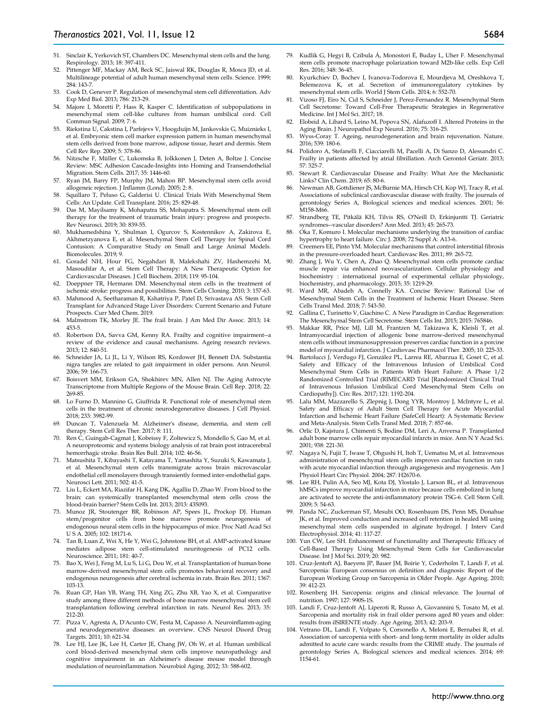- 51. Sinclair K, Yerkovich ST, Chambers DC. Mesenchymal stem cells and the lung. Respirology. 2013; 18: 397-411.
- 52. Pittenger MF, Mackay AM, Beck SC, Jaiswal RK, Douglas R, Mosca JD, et al. Multilineage potential of adult human mesenchymal stem cells. Science. 1999; 284: 143-7.
- 53. Cook D, Genever P. Regulation of mesenchymal stem cell differentiation. Adv Exp Med Biol. 2013; 786: 213-29.
- 54. Majore I, Moretti P, Hass R, Kasper C. Identification of subpopulations in mesenchymal stem cell-like cultures from human umbilical cord. Cell Commun Signal. 2009; 7: 6.
- 55. Riekstina U, Cakstina I, Parfejevs V, Hoogduijn M, Jankovskis G, Muiznieks I, et al. Embryonic stem cell marker expression pattern in human mesenchymal stem cells derived from bone marrow, adipose tissue, heart and dermis. Stem Cell Rev Rep. 2009; 5: 378-86.
- 56. Nitzsche F, Müller C, Lukomska B, Jolkkonen J, Deten A, Boltze J. Concise Review: MSC Adhesion Cascade-Insights into Homing and Transendothelial Migration. Stem Cells. 2017; 35: 1446-60.
- 57. Ryan JM, Barry FP, Murphy JM, Mahon BP. Mesenchymal stem cells avoid allogeneic rejection. J Inflamm (Lond). 2005; 2: 8.
- 58. Squillaro T, Peluso G, Galderisi U. Clinical Trials With Mesenchymal Stem Cells: An Update. Cell Transplant. 2016; 25: 829-48.
- 59. Das M, Mayilsamy K, Mohapatra SS, Mohapatra S. Mesenchymal stem cell therapy for the treatment of traumatic brain injury: progress and prospects. Rev Neurosci. 2019; 30: 839-55.
- 60. Mukhamedshina Y, Shulman I, Ogurcov S, Kostennikov A, Zakirova E, Akhmetzyanova E, et al. Mesenchymal Stem Cell Therapy for Spinal Cord Contusion: A Comparative Study on Small and Large Animal Models. Biomolecules. 2019; 9.
- 61. Goradel NH, Hour FG, Negahdari B, Malekshahi ZV, Hashemzehi M, Masoudifar A, et al. Stem Cell Therapy: A New Therapeutic Option for Cardiovascular Diseases. J Cell Biochem. 2018; 119: 95-104.
- Doeppner TR, Hermann DM. Mesenchymal stem cells in the treatment of ischemic stroke: progress and possibilities. Stem Cells Cloning. 2010; 3: 157-63.
- 63. Mahmood A, Seetharaman R, Kshatriya P, Patel D, Srivastava AS. Stem Cell Transplant for Advanced Stage Liver Disorders: Current Scenario and Future Prospects. Curr Med Chem. 2019.
- 64. Malmstrom TK, Morley JE. The frail brain. J Am Med Dir Assoc. 2013; 14: 453-5.
- 65. Robertson DA, Savva GM, Kenny RA. Frailty and cognitive impairment--a review of the evidence and causal mechanisms. Ageing research reviews. 2013; 12: 840-51.
- 66. Schneider JA, Li JL, Li Y, Wilson RS, Kordower JH, Bennett DA. Substantia nigra tangles are related to gait impairment in older persons. Ann Neurol. 2006; 59: 166-73.
- 67. Boisvert MM, Erikson GA, Shokhirev MN, Allen NJ. The Aging Astrocyte Transcriptome from Multiple Regions of the Mouse Brain. Cell Rep. 2018; 22: 269-85.
- 68. Lo Furno D, Mannino G, Giuffrida R. Functional role of mesenchymal stem cells in the treatment of chronic neurodegenerative diseases. J Cell Physiol. 2018; 233: 3982-99.
- 69. Duncan T, Valenzuela M. Alzheimer's disease, dementia, and stem cell therapy. Stem Cell Res Ther. 2017; 8: 111.
- 70. Ren C, Guingab-Cagmat J, Kobeissy F, Zoltewicz S, Mondello S, Gao M, et al. A neuroproteomic and systems biology analysis of rat brain post intracerebral hemorrhagic stroke. Brain Res Bull. 2014; 102: 46-56.
- 71. Matsushita T, Kibayashi T, Katayama T, Yamashita Y, Suzuki S, Kawamata J, et al. Mesenchymal stem cells transmigrate across brain microvascular endothelial cell monolayers through transiently formed inter-endothelial gaps. Neurosci Lett. 2011; 502: 41-5.
- 72. Liu L, Eckert MA, Riazifar H, Kang DK, Agalliu D, Zhao W. From blood to the brain: can systemically transplanted mesenchymal stem cells cross the blood-brain barrier? Stem Cells Int. 2013; 2013: 435093.
- 73. Munoz JR, Stoutenger BR, Robinson AP, Spees JL, Prockop DJ. Human stem/progenitor cells from bone marrow promote neurogenesis of endogenous neural stem cells in the hippocampus of mice. Proc Natl Acad Sci U S A. 2005; 102: 18171-6.
- 74. Tan B, Luan Z, Wei X, He Y, Wei G, Johnstone BH, et al. AMP-activated kinase mediates adipose stem cell-stimulated neuritogenesis of PC12 cells. Neuroscience. 2011; 181: 40-7.
- 75. Bao X, Wei J, Feng M, Lu S, Li G, Dou W, et al. Transplantation of human bone marrow-derived mesenchymal stem cells promotes behavioral recovery and endogenous neurogenesis after cerebral ischemia in rats. Brain Res. 2011; 1367: 103-13.
- 76. Ruan GP, Han YB, Wang TH, Xing ZG, Zhu XB, Yao X, et al. Comparative study among three different methods of bone marrow mesenchymal stem cell transplantation following cerebral infarction in rats. Neurol Res. 2013; 35: 212-20.
- 77. Pizza V, Agresta A, D'Acunto CW, Festa M, Capasso A. Neuroinflamm-aging and neurodegenerative diseases: an overview. CNS Neurol Disord Drug Targets. 2011; 10: 621-34.
- 78. Lee HJ, Lee JK, Lee H, Carter JE, Chang JW, Oh W, et al. Human umbilical cord blood-derived mesenchymal stem cells improve neuropathology and cognitive impairment in an Alzheimer's disease mouse model through modulation of neuroinflammation. Neurobiol Aging. 2012; 33: 588-602.
- 79. Kudlik G, Hegyi B, Czibula Á, Monostori É, Buday L, Uher F. Mesenchymal stem cells promote macrophage polarization toward M2b-like cells. Exp Cell Res. 2016; 348: 36-45.
- 80. Kyurkchiev D, Bochev I, Ivanova-Todorova E, Mourdjeva M, Oreshkova T, Belemezova K, et al. Secretion of immunoregulatory cytokines by mesenchymal stem cells. World J Stem Cells. 2014; 6: 552-70.
- 81. Vizoso FJ, Eiro N, Cid S, Schneider J, Perez-Fernandez R. Mesenchymal Stem Cell Secretome: Toward Cell-Free Therapeutic Strategies in Regenerative Medicine. Int J Mol Sci. 2017; 18.
- 82. Elobeid A, Libard S, Leino M, Popova SN, Alafuzoff I. Altered Proteins in the Aging Brain. J Neuropathol Exp Neurol. 2016; 75: 316-25.
- 83. Wyss-Coray T. Ageing, neurodegeneration and brain rejuvenation. Nature. 2016; 539: 180-6.
- 84. Polidoro A, Stefanelli F, Ciacciarelli M, Pacelli A, Di Sanzo D, Alessandri C. Frailty in patients affected by atrial fibrillation. Arch Gerontol Geriatr. 2013; 57: 325-7.
- 85. Stewart R. Cardiovascular Disease and Frailty: What Are the Mechanistic Links? Clin Chem. 2019; 65: 80-6.
- 86. Newman AB, Gottdiener JS, McBurnie MA, Hirsch CH, Kop WJ, Tracy R, et al. Associations of subclinical cardiovascular disease with frailty. The journals of gerontology Series A, Biological sciences and medical sciences. 2001; 56: M158-M66.
- 87. Strandberg TE, Pitkälä KH, Tilvis RS, O'Neill D, Erkinjuntti TJ. Geriatric syndromes--vascular disorders? Ann Med. 2013; 45: 265-73.
- 88. Oka T, Komuro I. Molecular mechanisms underlying the transition of cardiac hypertrophy to heart failure. Circ J. 2008; 72 Suppl A: A13-6.
- 89. Creemers EE, Pinto YM. Molecular mechanisms that control interstitial fibrosis in the pressure-overloaded heart. Cardiovasc Res. 2011; 89: 265-72.
- 90. Zhang J, Wu Y, Chen A, Zhao Q. Mesenchymal stem cells promote cardiac muscle repair via enhanced neovascularization. Cellular physiology and biochemistry : international journal of experimental cellular physiology, biochemistry, and pharmacology. 2015; 35: 1219-29.
- 91. Ward MR, Abadeh A, Connelly KA. Concise Review: Rational Use of Mesenchymal Stem Cells in the Treatment of Ischemic Heart Disease. Stem Cells Transl Med. 2018; 7: 543-50.
- 92. Gallina C, Turinetto V, Giachino C. A New Paradigm in Cardiac Regeneration: The Mesenchymal Stem Cell Secretome. Stem Cells Int. 2015; 2015: 765846.
- 93. Makkar RR, Price MJ, Lill M, Frantzen M, Takizawa K, Kleisli T, et al. Intramyocardial injection of allogenic bone marrow-derived mesenchymal stem cells without immunosuppression preserves cardiac function in a porcine model of myocardial infarction. J Cardiovasc Pharmacol Ther. 2005; 10: 225-33.
- 94. Bartolucci J, Verdugo FJ, González PL, Larrea RE, Abarzua E, Goset C, et al. Safety and Efficacy of the Intravenous Infusion of Umbilical Cord Mesenchymal Stem Cells in Patients With Heart Failure: A Phase 1/2 Randomized Controlled Trial (RIMECARD Trial [Randomized Clinical Trial of Intravenous Infusion Umbilical Cord Mesenchymal Stem Cells on Cardiopathy]). Circ Res. 2017; 121: 1192-204.
- 95. Lalu MM, Mazzarello S, Zlepnig J, Dong YYR, Montroy J, McIntyre L, et al. Safety and Efficacy of Adult Stem Cell Therapy for Acute Myocardial Infarction and Ischemic Heart Failure (SafeCell Heart): A Systematic Review and Meta-Analysis. Stem Cells Transl Med. 2018; 7: 857-66.
- 96. Orlic D, Kajstura J, Chimenti S, Bodine DM, Leri A, Anversa P. Transplanted adult bone marrow cells repair myocardial infarcts in mice. Ann N Y Acad Sci. 2001; 938: 221-30.
- 97. Nagaya N, Fujii T, Iwase T, Ohgushi H, Itoh T, Uematsu M, et al. Intravenous administration of mesenchymal stem cells improves cardiac function in rats with acute myocardial infarction through angiogenesis and myogenesis. Am J Physiol Heart Circ Physiol. 2004; 287: H2670-6.
- 98. Lee RH, Pulin AA, Seo MJ, Kota DJ, Ylostalo J, Larson BL, et al. Intravenous hMSCs improve myocardial infarction in mice because cells embolized in lung are activated to secrete the anti-inflammatory protein TSG-6. Cell Stem Cell. 2009; 5: 54-63.
- 99. Panda NC, Zuckerman ST, Mesubi OO, Rosenbaum DS, Penn MS, Donahue JK, et al. Improved conduction and increased cell retention in healed MI using mesenchymal stem cells suspended in alginate hydrogel. J Interv Card Electrophysiol. 2014; 41: 117-27.
- 100. Yun CW, Lee SH. Enhancement of Functionality and Therapeutic Efficacy of Cell-Based Therapy Using Mesenchymal Stem Cells for Cardiovascular Disease. Int J Mol Sci. 2019; 20: 982.
- 101. Cruz-Jentoft AJ, Baeyens JP, Bauer JM, Boirie Y, Cederholm T, Landi F, et al. Sarcopenia: European consensus on definition and diagnosis: Report of the European Working Group on Sarcopenia in Older People. Age Ageing. 2010; 39: 412-23.
- 102. Rosenberg IH. Sarcopenia: origins and clinical relevance. The Journal of nutrition. 1997; 127: 990S-1S.
- 103. Landi F, Cruz-Jentoft AJ, Liperoti R, Russo A, Giovannini S, Tosato M, et al. Sarcopenia and mortality risk in frail older persons aged 80 years and older: results from ilSIRENTE study. Age Ageing. 2013; 42: 203-9.
- 104. Vetrano DL, Landi F, Volpato S, Corsonello A, Meloni E, Bernabei R, et al. Association of sarcopenia with short- and long-term mortality in older adults admitted to acute care wards: results from the CRIME study. The journals of gerontology Series A, Biological sciences and medical sciences. 2014; 69: 1154-61.